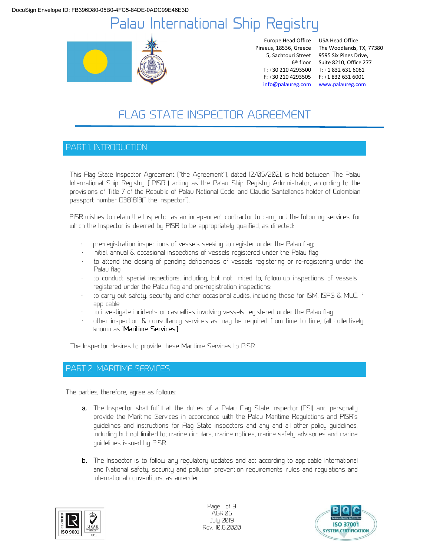

Europe Head Office Piraeus, 18536, Greece 5, Sachtouri Street info@palaureg.com www.palaureg.com

6 th floor Suite 8210, Office 277 T: +30 210 4293500 T: +1 832 631 6061 F: +30 210 4293505 F: +1 832 631 6001 USA Head Office The Woodlands, TX, 77380 9595 Six Pines Drive,

# **FLAG STATE INSPECTOR AGREEMENT**

## PART 1. INTRODUCTION

This Flag State Inspector Agreement (''the Agreement''), dated 12/05/2021, is held between The Palau International Ship Registry (''PISR'') acting as the Palau Ship Registry Administrator, according to the provisions of Title 7 of the Republic of Palau National Code, and Claudio Santellanes holder of Colombian passport number D381813('' the Inspector'').

PISR wishes to retain the Inspector as an independent contractor to carry out the following services, for which the Inspector is deemed by PISR to be appropriately qualified, as directed:

- pre-registration inspections of vessels seeking to register under the Palau flag;
- initial, annual & occasional inspections of vessels registered under the Palau flag;
- to attend the closing of pending deficiencies of vessels registering or re-registering under the Palau flag;
- to conduct special inspections, including, but not limited to, follow-up inspections of vessels registered under the Palau flag and pre-registration inspections;
- to carry out safety, security and other occasional audits, including those for ISM, ISPS & MLC, if applicable
- to investigate incidents or casualties involving vessels registered under the Palau flag
- other inspection & consultancy services as may be required from time to time, (all collectively known as 'Maritime Services').

The Inspector desires to provide these Maritime Services to PISR.

## PART 2. MARITIME SERVICES

The parties, therefore, agree as follows:

- a. The Inspector shall fulfill all the duties of a Palau Flag State Inspector (FSI) and personally provide the Maritime Services in accordance with the Palau Maritime Regulations and PISR's guidelines and instructions for Flag State inspectors and any and all other policy guidelines, including but not limited to; marine circulars, marine notices, marine safety advisories and marine guidelines issued by PISR.
- b. The Inspector is to follow any regulatory updates and act according to applicable International and National safety, security and pollution prevention requirements, rules and regulations and international conventions, as amended.



Page 1 of 9 AGR.06 July 2019 Rev. 10.6.2020

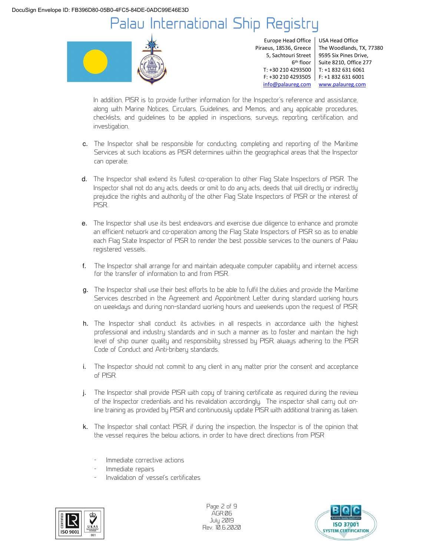

Europe Head Office Piraeus, 18536, Greece 5, Sachtouri Street 6 th floor

T: +30 210 4293500 T: +1 832 631 6061 F: +30 210 4293505 F: +1 832 631 6001 USA Head Office The Woodlands, TX, 77380 9595 Six Pines Drive, Suite 8210, Office 277 info@palaureg.com www.palaureg.com

In addition, PISR is to provide further information for the Inspector's reference and assistance, along with Marine Notices, Circulars, Guidelines, and Memos, and any applicable procedures, checklists, and guidelines to be applied in inspections, surveys, reporting, certification, and investigation.

- c. The Inspector shall be responsible for conducting, completing and reporting of the Maritime Services at such locations as PISR determines within the geographical areas that the Inspector can operate;
- d. The Inspector shall extend its fullest co-operation to other Flag State Inspectors of PISR. The Inspector shall not do any acts, deeds or omit to do any acts, deeds that will directly or indirectly prejudice the rights and authority of the other Flag State Inspectors of PISR or the interest of PISR.
- e. The Inspector shall use its best endeavors and exercise due diligence to enhance and promote an efficient network and co-operation among the Flag State Inspectors of PISR so as to enable each Flag State Inspector of PISR to render the best possible services to the owners of Palau registered vessels.
- f. The Inspector shall arrange for and maintain adequate computer capability and internet access for the transfer of information to and from PISR.
- g. The Inspector shall use their best efforts to be able to fulfil the duties and provide the Maritime Services described in the Agreement and Appointment Letter during standard working hours on weekdays and during non-standard working hours and weekends upon the request of PISR;
- h. The Inspector shall conduct its activities in all respects in accordance with the highest professional and industry standards and in such a manner as to foster and maintain the high level of ship owner quality and responsibility stressed by PISR, always adhering to the PISR Code of Conduct and Anti-bribery standards.
- i. The Inspector should not commit to any client in any matter prior the consent and acceptance of PISR.
- j. The Inspector shall provide PISR with copy of training certificate as required during the review of the Inspector credentials and his revalidation accordingly. The inspector shall carry out online training as provided by PISR and continuously update PISR with additional training as taken.
- k. The Inspector shall contact PISR, if during the inspection, the Inspector is of the opinion that the vessel requires the below actions, in order to have direct directions from PISR
	- Immediate corrective actions
	- Immediate repairs
	- Invalidation of vessel's certificates



Page 2 of 9 AGR.06 July 2019 Rev. 10.6.2020

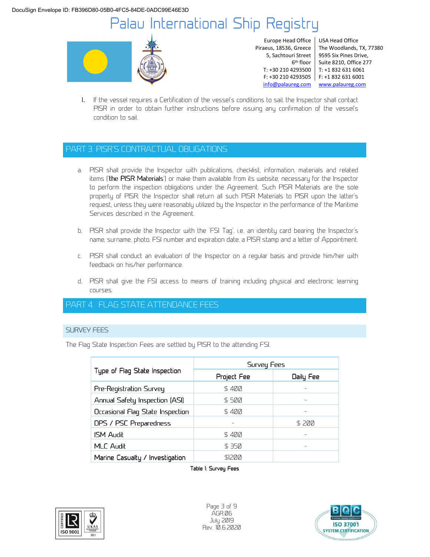

Europe Head Office Piraeus, 18536, Greece 5, Sachtouri Street 6 th floor

T: +30 210 4293500 T: +1 832 631 6061 F: +30 210 4293505 F: +1 832 631 6001 USA Head Office The Woodlands, TX, 77380 9595 Six Pines Drive, Suite 8210, Office 277 info@palaureg.com www.palaureg.com

l. If the vessel requires a Certification of the vessel's conditions to sail, the Inspector shall contact PISR in order to obtain further instructions before issuing any confirmation of the vessel's condition to sail.

## PART 3. PISR'S CONTRACTUAL OBLIGATIONS

- a. PISR shall provide the Inspector with publications, checklist, information, materials and related items ('the PISR Materials') or make them available from its website, necessary for the Inspector to perform the inspection obligations under the Agreement. Such PISR Materials are the sole property of PISR; the Inspector shall return all such PISR Materials to PISR upon the latter's request, unless they were reasonably utilized by the Inspector in the performance of the Maritime Services described in the Agreement.
- b. PISR shall provide the Inspector with the 'FSI Tag', i.e. an identity card bearing the Inspector's name, surname, photo, FSI number and expiration date, a PISR stamp and a letter of Appointment.
- c. PISR shall conduct an evaluation of the Inspector on a regular basis and provide him/her with feedback on his/her performance.
- d. PISR shall give the FSI access to means of training including physical and electronic learning courses.

## PART 4. FLAG STATE ATTENDANCE FEES

### SURVEY FEES

The Flag State Inspection Fees are settled by PISR to the attending FSI.

| Type of Flag State Inspection    | Survey Fees |           |
|----------------------------------|-------------|-----------|
|                                  | Project Fee | Daily Fee |
| Pre-Registration Survey          | S 400       |           |
| Annual Safety Inspection (ASI)   | S 500       |           |
| Occasional Flag State Inspection | S 400       |           |
| DPS / PSC Preparedness           |             | S 200     |
| <b>ISM Audit</b>                 | S 400       |           |
| <b>MLC Audit</b>                 | S 350       |           |
| Marine Casualty / Investigation  | S1200       |           |

Table 1: Survey Fees



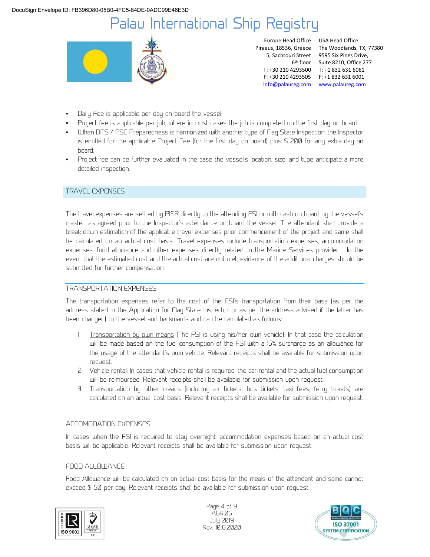

Europe Head Office Piraeus, 18536, Greece 5, Sachtouri Street 6 th floor info@palaureg.com www.palaureg.com

T: +30 210 4293500 T: +1 832 631 6061 F: +30 210 4293505 F: +1 832 631 6001 USA Head Office The Woodlands, TX, 77380 9595 Six Pines Drive, Suite 8210, Office 277

- Daily Fee is applicable per day on board the vessel.
- Project fee is applicable per job, where in most cases the job is completed on the first day on board.
- When DPS / PSC Preparedness is harmonized with another type of Flag State Inspection, the Inspector is entitled for the applicable Project Fee (for the first day on board) plus \$ 200 for any extra day on board.
- Project fee can be further evaluated in the case the vessel's location, size, and type anticipate a more detailed inspection.

#### TRAVEL EXPENSES

The travel expenses are settled by PISR directly to the attending FSI or with cash on board by the vessel's master, as agreed prior to the Inspector's attendance on board the vessel. The attendant shall provide a break down estimation of the applicable travel expenses prior commencement of the project and same shall be calculated on an actual cost basis. Travel expenses include transportation expenses, accommodation expenses, food allowance and other expenses directly related to the Marine Services provided. In the event that the estimated cost and the actual cost are not met, evidence of the additional charges should be submitted for further compensation.

#### TRANSPORTATION EXPENSES

The transportation expenses refer to the cost of the FSI's transportation from their base (as per the address stated in the Application for Flag State Inspector or as per the address advised if the latter has been changed) to the vessel and backwards and can be calculated as follows:

- 1. Transportation by own means (The FSI is using his/her own vehicle): In that case the calculation will be made based on the fuel consumption of the FSI with a 15% surcharge as an allowance for the usage of the attendant's own vehicle. Relevant receipts shall be available for submission upon request.
- 2. Vehicle rental: In cases that vehicle rental is required, the car rental and the actual fuel consumption will be reimbursed. Relevant receipts shall be available for submission upon request.
- 3. Transportation by other means (Including air tickets, bus tickets, taxi fees, ferry tickets) are calculated on an actual cost basis. Relevant receipts shall be available for submission upon request.

#### ACCOMODATION EXPENSES

In cases when the FSI is required to stay overnight, accommodation expenses based on an actual cost basis will be applicable. Relevant receipts shall be available for submission upon request.

### FOOD ALLOWANCE

Food Allowance will be calculated on an actual cost basis for the meals of the attendant and same cannot exceed \$ 50 per day. Relevant receipts shall be available for submission upon request.



Page 4 of 9 AGR.06 July 2019 Rev. 10.6.2020

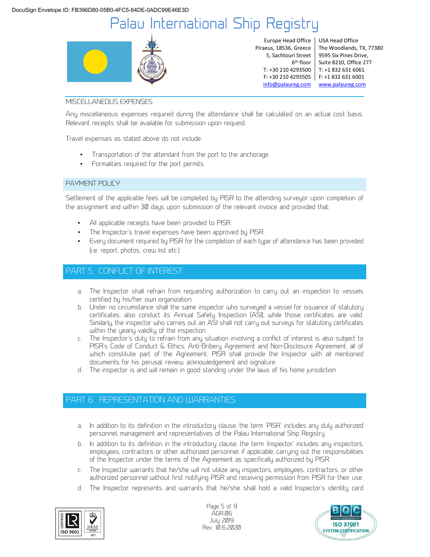

Europe Head Office Piraeus, 18536, Greece 5, Sachtouri Street 6 th floor

T: +30 210 4293500 T: +1 832 631 6061 F: +30 210 4293505 F: +1 832 631 6001 USA Head Office The Woodlands, TX, 77380 9595 Six Pines Drive, Suite 8210, Office 277 info@palaureg.com www.palaureg.com

#### MISCELLANEOUS EXPENSES

Any miscellaneous expenses required during the attendance shall be calculated on an actual cost basis. Relevant receipts shall be available for submission upon request.

Travel expenses as stated above do not include:

- Transportation of the attendant from the port to the anchorage.
- Formalities required for the port permits.

#### PAYMENT POLICY

Settlement of the applicable fees will be completed by PISR to the attending surveyor upon completion of the assignment and within 30 days upon submission of the relevant invoice and provided that:

- All applicable receipts have been provided to PISR.
- The Inspector's travel expenses have been approved by PISR.
- Every document required by PISR for the completion of each type of attendance has been provided (i.e. report, photos, crew list etc.)

### PART 5. CONFLICT OF INTEREST

- a. The Inspector shall refrain from requesting authorization to carry out an inspection to vessels certified by his/her own organization.
- b. Under no circumstance shall the same inspector who surveyed a vessel for issuance of statutory certificates; also conduct its Annual Safety Inspection (ASI), while those certificates are valid. Similarly, the inspector who carries out an ASI shall not carry out surveys for statutory certificates within the yearly validity of the inspection.
- c. The Inspector's duty to refrain from any situation involving a conflict of interest is also subject to PISR's Code of Conduct & Ethics, Anti-Bribery Agreement and Non-Disclosure Agreement, all of which constitute part of the Agreement. PISR shall provide the Inspector with all mentioned documents for his perusal, review, acknowledgement and signature.
- d. The inspector is and will remain in good standing under the laws of his home jurisdiction

### PART 6. REPRESENTATION AND WARRANTIES

- a. In addition to its definition in the introductory clause, the term 'PISR' includes any duly authorized personnel, management and representatives of the Palau International Ship Registry.
- b. In addition to its definition in the introductory clause, the term 'Inspector' includes any inspectors, employees, contractors or other authorized personnel, if applicable, carrying out the responsibilities of the Inspector under the terms of the Agreement as specifically authorized by PISR.
- c. The Inspector warrants that he/she will not utilize any inspectors, employees, contractors, or other authorized personnel without first notifying PISR and receiving permission from PISR for their use.
- d. The Inspector represents and warrants that he/she shall hold a valid Inspector's identity card



Page 5 of 9 AGR.06 July 2019 Rev. 10.6.2020

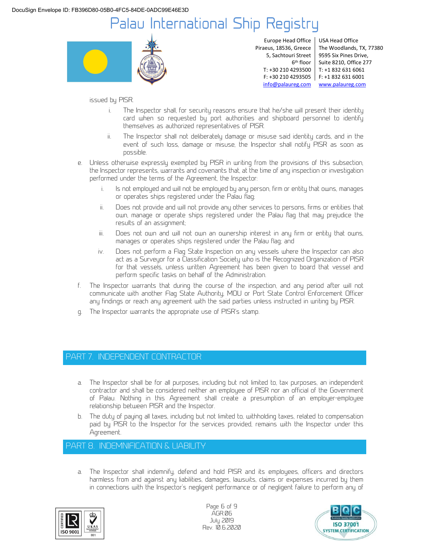

Europe Head Office Piraeus, 18536, Greece 5, Sachtouri Street 6 th floor

T: +30 210 4293500 T: +1 832 631 6061 F: +30 210 4293505 F: +1 832 631 6001 USA Head Office The Woodlands, TX, 77380 9595 Six Pines Drive, Suite 8210, Office 277 info@palaureg.com www.palaureg.com

#### issued by PISR.

- The Inspector shall, for security reasons ensure that he/she will present their identity card when so requested by port authorities and shipboard personnel to identify themselves as authorized representatives of PISR.
- ii. The Inspector shall not deliberately damage or misuse said identity cards, and in the event of such loss, damage or misuse, the Inspector shall notify PISR as soon as possible.
- e. Unless otherwise expressly exempted by PISR in writing from the provisions of this subsection, the Inspector represents, warrants and covenants that, at the time of any inspection or investigation performed under the terms of the Agreement, the Inspector:
	- i. Is not employed and will not be employed by any person, firm or entity that owns, manages or operates ships registered under the Palau flag;
	- ii. Does not provide and will not provide any other services to persons, firms or entities that own, manage or operate ships registered under the Palau flag that may prejudice the results of an assignment;
	- iii. Does not own and will not own an ownership interest in any firm or entity that owns, manages or operates ships registered under the Palau flag; and
	- iv. Does not perform a Flag State Inspection on any vessels where the Inspector can also act as a Surveyor for a Classification Society who is the Recognized Organization of PISR for that vessels, unless written Agreement has been given to board that vessel and perform specific tasks on behalf of the Administration.
- f. The Inspector warrants that during the course of the inspection, and any period after will not communicate with another Flag State Authority, MOU or Port State Control Enforcement Officer any findings or reach any agreement with the said parties unless instructed in writing by PISR.
- g. The Inspector warrants the appropriate use of PISR's stamp.

## PART 7. INDEPENDENT CONTRACTOR

- a. The Inspector shall be for all purposes, including but not limited to, tax purposes, an independent contractor and shall be considered neither an employee of PISR nor an official of the Government of Palau. Nothing in this Agreement shall create a presumption of an employer-employee relationship between PISR and the Inspector.
- b. The duty of paying all taxes, including but not limited to, withholding taxes, related to compensation paid by PISR to the Inspector for the services provided, remains with the Inspector under this Agreement.

### PART 8. INDEMNIFICATION & LIABILITY

a. The Inspector shall indemnify, defend and hold PISR and its employees, officers and directors harmless from and against any liabilities, damages, lawsuits, claims or expenses incurred by them in connections with the Inspector's negligent performance or of negligent failure to perform any of



Page 6 of 9 AGR.06 July 2019 Rev. 10.6.2020

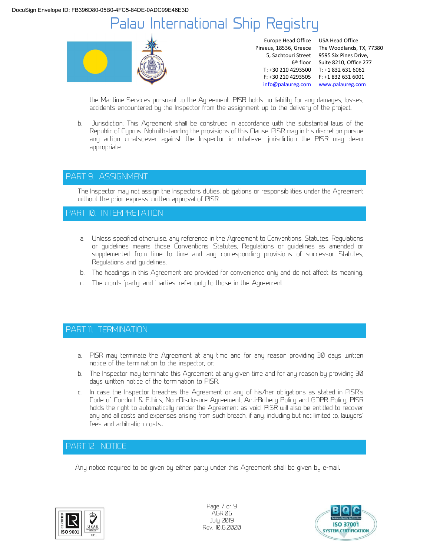

Europe Head Office Piraeus, 18536, Greece 5, Sachtouri Street 6 th floor

T: +30 210 4293500 T: +1 832 631 6061 F: +30 210 4293505 F: +1 832 631 6001 USA Head Office The Woodlands, TX, 77380 9595 Six Pines Drive, Suite 8210, Office 277 info@palaureg.com www.palaureg.com

the Maritime Services pursuant to the Agreement. PISR holds no liability for any damages, losses, accidents encountered by the Inspector from the assignment up to the delivery of the project.

b. Jurisdiction: This Agreement shall be construed in accordance with the substantial laws of the Republic of Cyprus. Notwithstanding the provisions of this Clause, PISR may in his discretion pursue any action whatsoever against the Inspector in whatever jurisdiction the PISR may deem appropriate.

### PART 9. ASSIGNMENT

The Inspector may not assign the Inspectors duties, obligations or responsibilities under the Agreement without the prior express written approval of PISR.

### PART 10. INTERPRETATION

- a. Unless specified otherwise, any reference in the Agreement to Conventions, Statutes, Regulations or guidelines means those Conventions, Statutes, Regulations or guidelines as amended or supplemented from time to time and any corresponding provisions of successor Statutes, Regulations and guidelines.
- b. The headings in this Agreement are provided for convenience only and do not affect its meaning.
- c. The words 'party' and 'parties' refer only to those in the Agreement.

### PART 11. TERMINATION

- a. PISR may terminate the Agreement at any time and for any reason providing 30 days written notice of the termination to the inspector, or:
- b. The Inspector may terminate this Agreement at any given time and for any reason by providing 30 days written notice of the termination to PISR.
- c. In case the Inspector breaches the Agreement or any of his/her obligations as stated in PISR's Code of Conduct & Ethics, Non-Disclosure Agreement, Anti-Bribery Policy and GDPR Policy, PISR holds the right to automatically render the Agreement as void. PISR will also be entitled to recover any and all costs and expenses arising from such breach, if any, including but not limited to, lawyers' fees and arbitration costs.

### PART 12. NOTICE

Any notice required to be given by either party under this Agreement shall be given by e-mail.



Page 7 of 9 AGR.06 July 2019 Rev. 10.6.2020

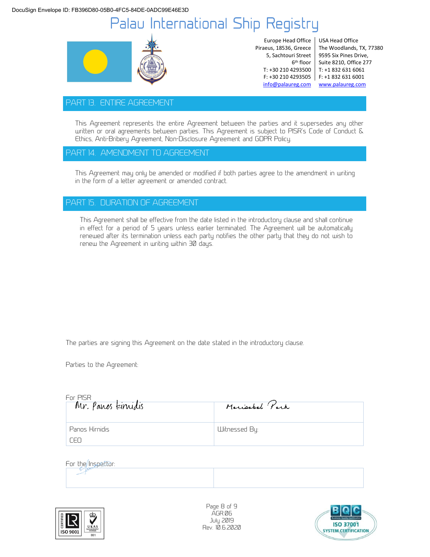

Europe Head Office Piraeus, 18536, Greece 5, Sachtouri Street 6 th floor T: +30 210 4293500

F: +30 210 4293505 F: +1 832 631 6001 USA Head Office The Woodlands, TX, 77380 9595 Six Pines Drive, Suite 8210, Office 277 T: +1 832 631 6061 info@palaureg.com www.palaureg.com

### PART 13. ENTIRE AGREEMENT

This Agreement represents the entire Agreement between the parties and it supersedes any other written or oral agreements between parties. This Agreement is subject to PISR's Code of Conduct & Ethics, Anti-Bribery Agreement, Non-Disclosure Agreement and GDPR Policy.

### PART 14. AMENDMENT TO AGREEMENT

This Agreement may only be amended or modified if both parties agree to the amendment in writing in the form of a letter agreement or amended contract.

### PART 15. DURATION OF AGREEMENT

This Agreement shall be effective from the date listed in the introductory clause and shall continue in effect for a period of 5 years unless earlier terminated. The Agreement will be automatically renewed after its termination unless each party notifies the other party that they do not wish to renew the Agreement in writing within 30 days.

The parties are signing this Agreement on the date stated in the introductory clause.

Parties to the Agreement:

| For PISR          |                |  |
|-------------------|----------------|--|
| Mr. Panos kinidis | Mariasbel Park |  |
|                   |                |  |
| Panos Kirnidis    | Witnessed By:  |  |
| CEO               |                |  |

#### For the Inspector:



Page 8 of 9 AGR.06 July 2019 Rev. 10.6.2020